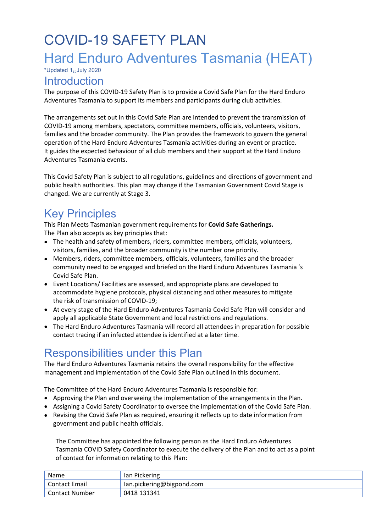# COVID-19 SAFETY PLAN Hard Enduro Adventures Tasmania (HEAT) \*Updated 1st July 2020

## **Introduction**

The purpose of this COVID-19 Safety Plan is to provide a Covid Safe Plan for the Hard Enduro Adventures Tasmania to support its members and participants during club activities.

The arrangements set out in this Covid Safe Plan are intended to prevent the transmission of COVID-19 among members, spectators, committee members, officials, volunteers, visitors, families and the broader community. The Plan provides the framework to govern the general operation of the Hard Enduro Adventures Tasmania activities during an event or practice. It guides the expected behaviour of all club members and their support at the Hard Enduro Adventures Tasmania events.

This Covid Safety Plan is subject to all regulations, guidelines and directions of government and public health authorities. This plan may change if the Tasmanian Government Covid Stage is changed. We are currently at Stage 3.

## Key Principles

This Plan Meets Tasmanian government requirements for **Covid Safe Gatherings.** The Plan also accepts as key principles that:

- The health and safety of members, riders, committee members, officials, volunteers, visitors, families, and the broader community is the number one priority.
- Members, riders, committee members, officials, volunteers, families and the broader community need to be engaged and briefed on the Hard Enduro Adventures Tasmania 's Covid Safe Plan.
- Event Locations/ Facilities are assessed, and appropriate plans are developed to accommodate hygiene protocols, physical distancing and other measures to mitigate the risk of transmission of COVID-19;
- At every stage of the Hard Enduro Adventures Tasmania Covid Safe Plan will consider and apply all applicable State Government and local restrictions and regulations.
- The Hard Enduro Adventures Tasmania will record all attendees in preparation for possible contact tracing if an infected attendee is identified at a later time.

## Responsibilities under this Plan

The Hard Enduro Adventures Tasmania retains the overall responsibility for the effective management and implementation of the Covid Safe Plan outlined in this document.

The Committee of the Hard Enduro Adventures Tasmania is responsible for:

- Approving the Plan and overseeing the implementation of the arrangements in the Plan.
- Assigning a Covid Safety Coordinator to oversee the implementation of the Covid Safe Plan.
- Revising the Covid Safe Plan as required, ensuring it reflects up to date information from government and public health officials.

The Committee has appointed the following person as the Hard Enduro Adventures Tasmania COVID Safety Coordinator to execute the delivery of the Plan and to act as a point of contact for information relating to this Plan:

| <b>Name</b>    | lan Pickering               |
|----------------|-----------------------------|
| Contact Email  | lan.pickering@bigpond.com l |
| Contact Number | 0418 131341                 |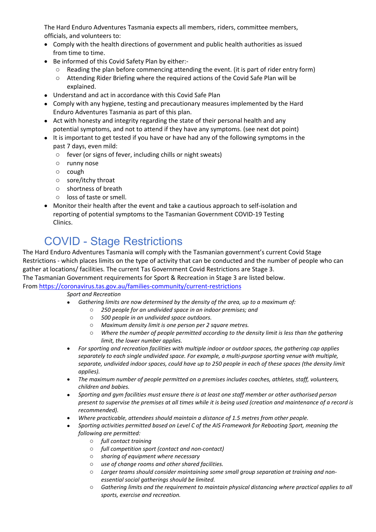The Hard Enduro Adventures Tasmania expects all members, riders, committee members, officials, and volunteers to:

- Comply with the health directions of government and public health authorities as issued from time to time.
- Be informed of this Covid Safety Plan by either:
	- o Reading the plan before commencing attending the event. (it is part of rider entry form)
	- o Attending Rider Briefing where the required actions of the Covid Safe Plan will be explained.
- Understand and act in accordance with this Covid Safe Plan
- Comply with any hygiene, testing and precautionary measures implemented by the Hard Enduro Adventures Tasmania as part of this plan.
- Act with honesty and integrity regarding the state of their personal health and any potential symptoms, and not to attend if they have any symptoms. (see next dot point)
- It is important to get tested if you have or have had any of the following symptoms in the past 7 days, even mild:
	- o fever (or signs of fever, including chills or night sweats)
	- o runny nose
	- o cough
	- o sore/itchy throat
	- o shortness of breath
	- o loss of taste or smell.
- Monitor their health after the event and take a cautious approach to self-isolation and reporting of potential symptoms to the Tasmanian Government COVID-19 Testing Clinics.

# COVID - Stage Restrictions

The Hard Enduro Adventures Tasmania will comply with the Tasmanian government's current Covid Stage Restrictions - which places limits on the type of activity that can be conducted and the number of people who can gather at locations/ facilities. The current Tas Government Covid Restrictions are Stage 3. The Tasmanian Government requirements for Sport & Recreation in Stage 3 are listed below.

From https://coronavirus.tas.gov.au/families-community/current-restrictions

#### *Sport and Recreation*

- *Gathering limits are now determined by the density of the area, up to a maximum of:*
	- o *250 people for an undivided space in an indoor premises; and*
		- o *500 people in an undivided space outdoors.*
	- o *Maximum density limit is one person per 2 square metres.*
	- o *Where the number of people permitted according to the density limit is less than the gathering limit, the lower number applies.*
- *For sporting and recreation facilities with multiple indoor or outdoor spaces, the gathering cap applies separately to each single undivided space. For example, a multi-purpose sporting venue with multiple, separate, undivided indoor spaces, could have up to 250 people in each of these spaces (the density limit applies).*
- *The maximum number of people permitted on a premises includes coaches, athletes, staff, volunteers, children and babies.*
- *Sporting and gym facilities must ensure there is at least one staff member or other authorised person present to supervise the premises at all times while it is being used (creation and maintenance of a record is recommended).*
- *Where practicable, attendees should maintain a distance of 1.5 metres from other people.*
- *Sporting activities permitted based on Level C of the AIS Framework for Rebooting Sport, meaning the following are permitted:*
	- o *full contact training*
	- o *full competition sport (contact and non-contact)*
	- o *sharing of equipment where necessary*
	- o *use of change rooms and other shared facilities.*
	- o *Larger teams should consider maintaining some small group separation at training and nonessential social gatherings should be limited.*
	- o *Gathering limits and the requirement to maintain physical distancing where practical applies to all sports, exercise and recreation.*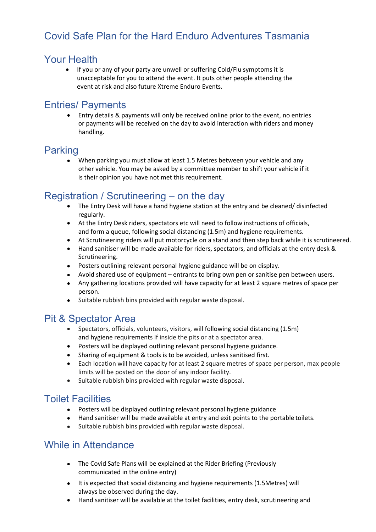## Covid Safe Plan for the Hard Enduro Adventures Tasmania

#### Your Health

• If you or any of your party are unwell or suffering Cold/Flu symptoms it is unacceptable for you to attend the event. It puts other people attending the event at risk and also future Xtreme Enduro Events.

## Entries/ Payments

 Entry details & payments will only be received online prior to the event, no entries or payments will be received on the day to avoid interaction with riders and money handling.

#### Parking

 When parking you must allow at least 1.5 Metres between your vehicle and any other vehicle. You may be asked by a committee member to shift your vehicle if it is their opinion you have not met this requirement.

## Registration / Scrutineering – on the day

- The Entry Desk will have a hand hygiene station at the entry and be cleaned/ disinfected regularly.
- At the Entry Desk riders, spectators etc will need to follow instructions of officials, and form a queue, following social distancing (1.5m) and hygiene requirements.
- At Scrutineering riders will put motorcycle on a stand and then step back while it is scrutineered.
- Hand sanitiser will be made available for riders, spectators, and officials at the entry desk & Scrutineering.
- Posters outlining relevant personal hygiene guidance will be on display.
- Avoid shared use of equipment entrants to bring own pen or sanitise pen between users.
- Any gathering locations provided will have capacity for at least 2 square metres of space per person.
- Suitable rubbish bins provided with regular waste disposal.

## Pit & Spectator Area

- Spectators, officials, volunteers, visitors, will following social distancing (1.5m) and hygiene requirements if inside the pits or at a spectator area.
- Posters will be displayed outlining relevant personal hygiene guidance.
- Sharing of equipment & tools is to be avoided, unless sanitised first.
- Each location will have capacity for at least 2 square metres of space per person, max people limits will be posted on the door of any indoor facility.
- Suitable rubbish bins provided with regular waste disposal.

#### Toilet Facilities

- Posters will be displayed outlining relevant personal hygiene guidance
- Hand sanitiser will be made available at entry and exit points to the portable toilets.
- Suitable rubbish bins provided with regular waste disposal.

## While in Attendance

- The Covid Safe Plans will be explained at the Rider Briefing (Previously communicated in the online entry)
- It is expected that social distancing and hygiene requirements (1.5Metres) will always be observed during the day.
- Hand sanitiser will be available at the toilet facilities, entry desk, scrutineering and